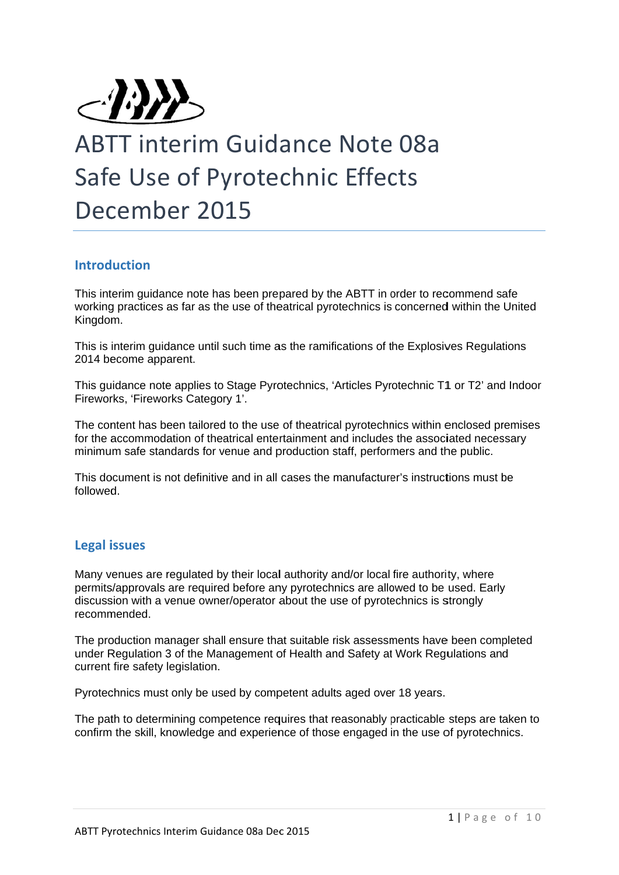

# ABTT interim Guidance Note 08a Safe Use of Pyrotechnic Effects December 2015

# **Introd uction**

This interim guidance note has been prepared by the ABTT in order to recommend safe working practices as far as the use of theatrical pyrotechnics is concerned within the United Kingdom.

This is interim guidance until such time as the ramifications of the Explosives Regulations 2014 become apparent.

This guidance note applies to Stage Pyrotechnics, 'Articles Pyrotechnic T1 or T2' and Indoor Fireworks, 'Fireworks Category 1'.

The content has been tailored to the use of theatrical pyrotechnics within enclosed premises for the accommodation of theatrical entertainment and includes the associated necessary minimum safe standards for venue and production staff, performers and the public.

This document is not definitive and in all cases the manufacturer's instructions must be followed.

# **Legal i issues**

Many venues are regulated by their local authority and/or local fire authority, where permits/approvals are required before any pyrotechnics are allowed to be used. Early discussion with a venue owner/operator about the use of pyrotechnics is strongly recomm mended. permits/approvals are required before any pyrotechnics are allowed to be used. Early<br>discussion with a venue owner/operator about the use of pyrotechnics is strongly<br>recommended.<br>The production manager shall ensure that su

under Regulation 3 of the Management of Health and Safety at Work Regulations and current fire safety legislation. under Regulation 3 of the Management of Health and Safety at Work Regulations and<br>current fire safety legislation.<br>Pyrotechnics must only be used by competent adults aged over 18 years.<br>The path to determining competence r

Pyrotechnics must only be used by competent adults aged over 18 years.

confirm the skill, knowledge and experience of those engaged in the use of pyrotechnics.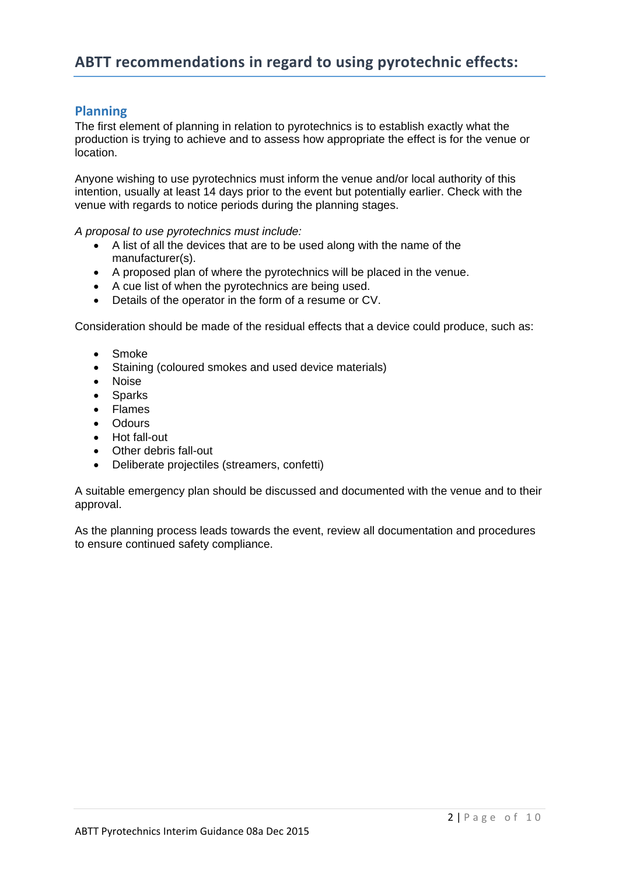# **Planning**

The first element of planning in relation to pyrotechnics is to establish exactly what the production is trying to achieve and to assess how appropriate the effect is for the venue or location.

Anyone wishing to use pyrotechnics must inform the venue and/or local authority of this intention, usually at least 14 days prior to the event but potentially earlier. Check with the venue with regards to notice periods during the planning stages.

*A proposal to use pyrotechnics must include:* 

- A list of all the devices that are to be used along with the name of the manufacturer(s).
- A proposed plan of where the pyrotechnics will be placed in the venue.
- A cue list of when the pyrotechnics are being used.
- Details of the operator in the form of a resume or CV.

Consideration should be made of the residual effects that a device could produce, such as:

- Smoke
- Staining (coloured smokes and used device materials)
- Noise
- Sparks
- Flames
- Odours
- Hot fall-out
- Other debris fall-out
- Deliberate projectiles (streamers, confetti)

A suitable emergency plan should be discussed and documented with the venue and to their approval.

As the planning process leads towards the event, review all documentation and procedures to ensure continued safety compliance.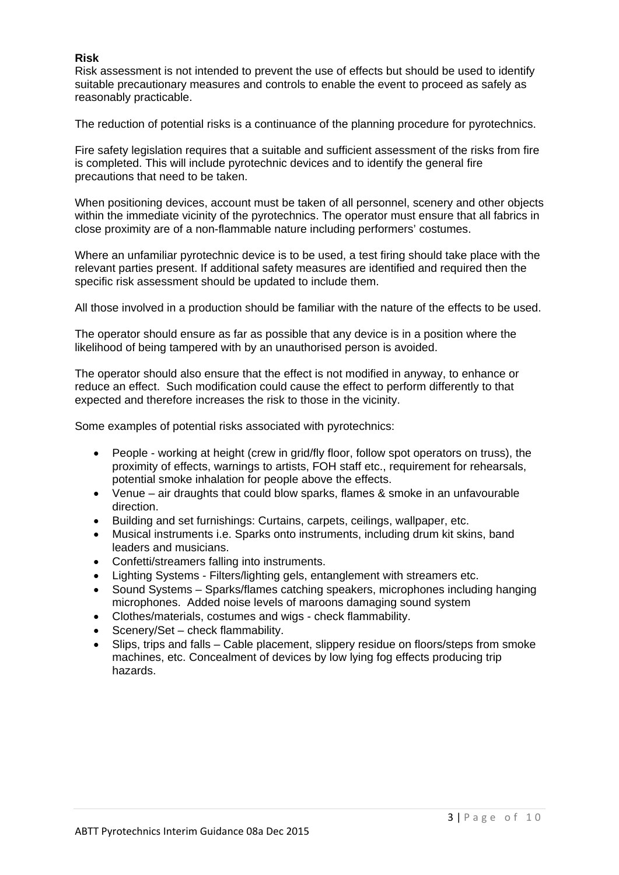## **Risk**

Risk assessment is not intended to prevent the use of effects but should be used to identify suitable precautionary measures and controls to enable the event to proceed as safely as reasonably practicable.

The reduction of potential risks is a continuance of the planning procedure for pyrotechnics.

Fire safety legislation requires that a suitable and sufficient assessment of the risks from fire is completed. This will include pyrotechnic devices and to identify the general fire precautions that need to be taken.

When positioning devices, account must be taken of all personnel, scenery and other objects within the immediate vicinity of the pyrotechnics. The operator must ensure that all fabrics in close proximity are of a non-flammable nature including performers' costumes.

Where an unfamiliar pyrotechnic device is to be used, a test firing should take place with the relevant parties present. If additional safety measures are identified and required then the specific risk assessment should be updated to include them.

All those involved in a production should be familiar with the nature of the effects to be used.

The operator should ensure as far as possible that any device is in a position where the likelihood of being tampered with by an unauthorised person is avoided.

The operator should also ensure that the effect is not modified in anyway, to enhance or reduce an effect. Such modification could cause the effect to perform differently to that expected and therefore increases the risk to those in the vicinity.

Some examples of potential risks associated with pyrotechnics:

- People working at height (crew in grid/fly floor, follow spot operators on truss), the proximity of effects, warnings to artists, FOH staff etc., requirement for rehearsals, potential smoke inhalation for people above the effects.
- Venue air draughts that could blow sparks, flames & smoke in an unfavourable direction.
- Building and set furnishings: Curtains, carpets, ceilings, wallpaper, etc.
- Musical instruments i.e. Sparks onto instruments, including drum kit skins, band leaders and musicians.
- Confetti/streamers falling into instruments.
- Lighting Systems Filters/lighting gels, entanglement with streamers etc.
- Sound Systems Sparks/flames catching speakers, microphones including hanging microphones. Added noise levels of maroons damaging sound system
- Clothes/materials, costumes and wigs check flammability.
- Scenery/Set check flammability.
- Slips, trips and falls Cable placement, slippery residue on floors/steps from smoke machines, etc. Concealment of devices by low lying fog effects producing trip hazards.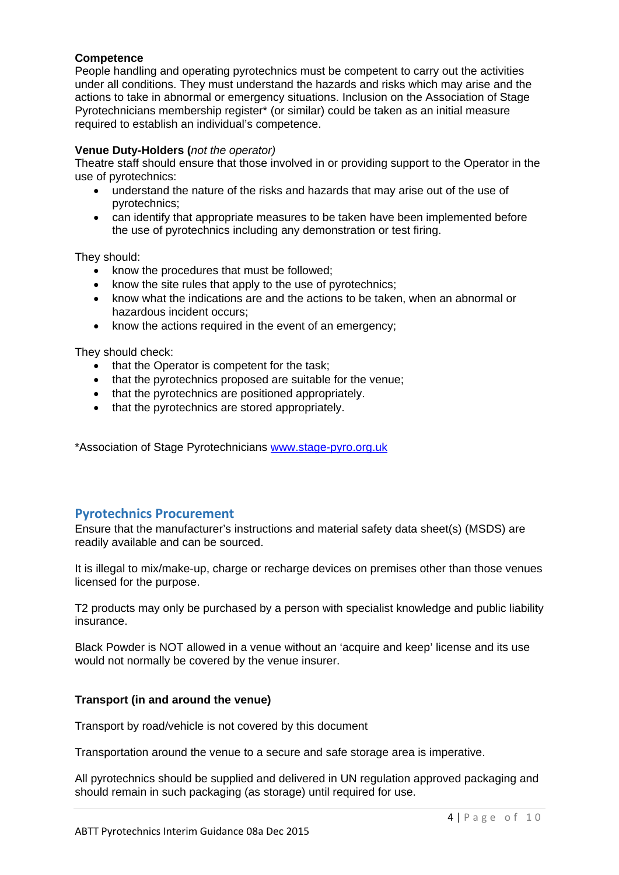## **Competence**

People handling and operating pyrotechnics must be competent to carry out the activities under all conditions. They must understand the hazards and risks which may arise and the actions to take in abnormal or emergency situations. Inclusion on the Association of Stage Pyrotechnicians membership register\* (or similar) could be taken as an initial measure required to establish an individual's competence.

## **Venue Duty-Holders (***not the operator)*

Theatre staff should ensure that those involved in or providing support to the Operator in the use of pyrotechnics:

- understand the nature of the risks and hazards that may arise out of the use of pyrotechnics;
- can identify that appropriate measures to be taken have been implemented before the use of pyrotechnics including any demonstration or test firing.

They should:

- know the procedures that must be followed:
- know the site rules that apply to the use of pyrotechnics;
- know what the indications are and the actions to be taken, when an abnormal or hazardous incident occurs;
- know the actions required in the event of an emergency;

They should check:

- that the Operator is competent for the task;
- that the pyrotechnics proposed are suitable for the venue;
- that the pyrotechnics are positioned appropriately.
- that the pyrotechnics are stored appropriately.

\*Association of Stage Pyrotechnicians www.stage-pyro.org.uk

## **Pyrotechnics Procurement**

Ensure that the manufacturer's instructions and material safety data sheet(s) (MSDS) are readily available and can be sourced.

It is illegal to mix/make-up, charge or recharge devices on premises other than those venues licensed for the purpose.

T2 products may only be purchased by a person with specialist knowledge and public liability insurance.

Black Powder is NOT allowed in a venue without an 'acquire and keep' license and its use would not normally be covered by the venue insurer.

## **Transport (in and around the venue)**

Transport by road/vehicle is not covered by this document

Transportation around the venue to a secure and safe storage area is imperative.

All pyrotechnics should be supplied and delivered in UN regulation approved packaging and should remain in such packaging (as storage) until required for use.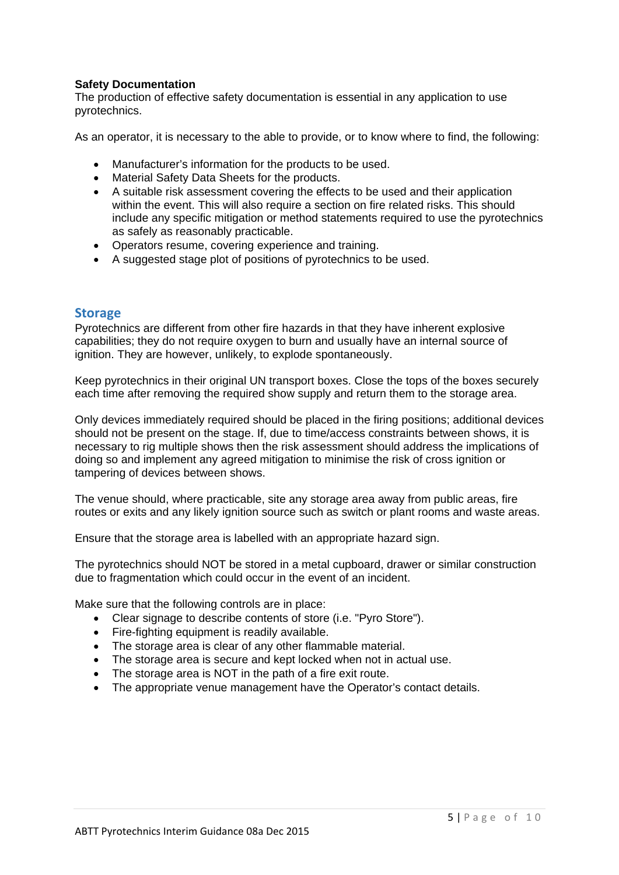## **Safety Documentation**

The production of effective safety documentation is essential in any application to use pyrotechnics.

As an operator, it is necessary to the able to provide, or to know where to find, the following:

- Manufacturer's information for the products to be used.
- Material Safety Data Sheets for the products.
- A suitable risk assessment covering the effects to be used and their application within the event. This will also require a section on fire related risks. This should include any specific mitigation or method statements required to use the pyrotechnics as safely as reasonably practicable.
- Operators resume, covering experience and training.
- A suggested stage plot of positions of pyrotechnics to be used.

## **Storage**

Pyrotechnics are different from other fire hazards in that they have inherent explosive capabilities; they do not require oxygen to burn and usually have an internal source of ignition. They are however, unlikely, to explode spontaneously.

Keep pyrotechnics in their original UN transport boxes. Close the tops of the boxes securely each time after removing the required show supply and return them to the storage area.

Only devices immediately required should be placed in the firing positions; additional devices should not be present on the stage. If, due to time/access constraints between shows, it is necessary to rig multiple shows then the risk assessment should address the implications of doing so and implement any agreed mitigation to minimise the risk of cross ignition or tampering of devices between shows.

The venue should, where practicable, site any storage area away from public areas, fire routes or exits and any likely ignition source such as switch or plant rooms and waste areas.

Ensure that the storage area is labelled with an appropriate hazard sign.

The pyrotechnics should NOT be stored in a metal cupboard, drawer or similar construction due to fragmentation which could occur in the event of an incident.

Make sure that the following controls are in place:

- Clear signage to describe contents of store (i.e. "Pyro Store").
- Fire-fighting equipment is readily available.
- The storage area is clear of any other flammable material.
- The storage area is secure and kept locked when not in actual use.
- The storage area is NOT in the path of a fire exit route.
- The appropriate venue management have the Operator's contact details.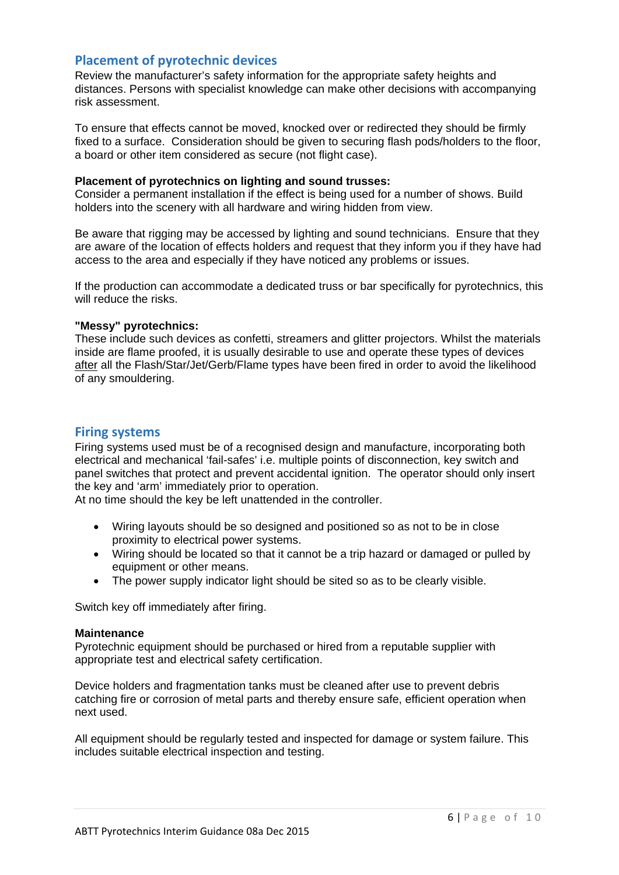## **Placement of pyrotechnic devices**

Review the manufacturer's safety information for the appropriate safety heights and distances. Persons with specialist knowledge can make other decisions with accompanying risk assessment.

To ensure that effects cannot be moved, knocked over or redirected they should be firmly fixed to a surface. Consideration should be given to securing flash pods/holders to the floor, a board or other item considered as secure (not flight case).

#### **Placement of pyrotechnics on lighting and sound trusses:**

Consider a permanent installation if the effect is being used for a number of shows. Build holders into the scenery with all hardware and wiring hidden from view.

Be aware that rigging may be accessed by lighting and sound technicians. Ensure that they are aware of the location of effects holders and request that they inform you if they have had access to the area and especially if they have noticed any problems or issues.

If the production can accommodate a dedicated truss or bar specifically for pyrotechnics, this will reduce the risks.

## **"Messy" pyrotechnics:**

These include such devices as confetti, streamers and glitter projectors. Whilst the materials inside are flame proofed, it is usually desirable to use and operate these types of devices after all the Flash/Star/Jet/Gerb/Flame types have been fired in order to avoid the likelihood of any smouldering.

## **Firing systems**

Firing systems used must be of a recognised design and manufacture, incorporating both electrical and mechanical 'fail-safes' i.e. multiple points of disconnection, key switch and panel switches that protect and prevent accidental ignition. The operator should only insert the key and 'arm' immediately prior to operation.

At no time should the key be left unattended in the controller.

- Wiring layouts should be so designed and positioned so as not to be in close proximity to electrical power systems.
- Wiring should be located so that it cannot be a trip hazard or damaged or pulled by equipment or other means.
- The power supply indicator light should be sited so as to be clearly visible.

Switch key off immediately after firing.

#### **Maintenance**

Pyrotechnic equipment should be purchased or hired from a reputable supplier with appropriate test and electrical safety certification.

Device holders and fragmentation tanks must be cleaned after use to prevent debris catching fire or corrosion of metal parts and thereby ensure safe, efficient operation when next used.

All equipment should be regularly tested and inspected for damage or system failure. This includes suitable electrical inspection and testing.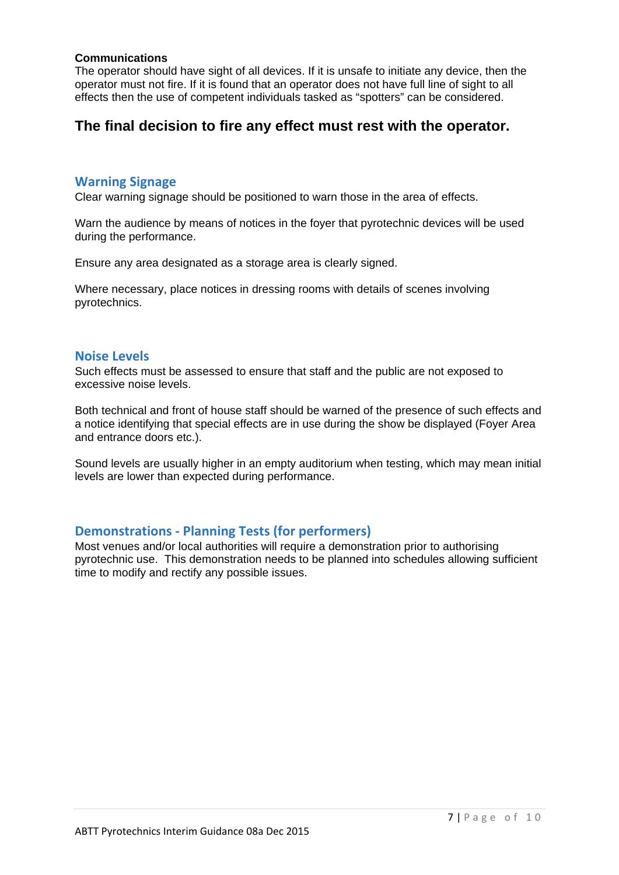## **Communications**

The operator should have sight of all devices. If it is unsafe to initiate any device, then the operator must not fire. If it is found that an operator does not have full line of sight to all effects then the use of competent individuals tasked as "spotters" can be considered.

# **The final decision to fire any effect must rest with the operator.**

## **Warning Signage**

Clear warning signage should be positioned to warn those in the area of effects.

Warn the audience by means of notices in the foyer that pyrotechnic devices will be used during the performance.

Ensure any area designated as a storage area is clearly signed.

Where necessary, place notices in dressing rooms with details of scenes involving pyrotechnics.

## **Noise Levels**

Such effects must be assessed to ensure that staff and the public are not exposed to excessive noise levels.

Both technical and front of house staff should be warned of the presence of such effects and a notice identifying that special effects are in use during the show be displayed (Foyer Area and entrance doors etc.).

Sound levels are usually higher in an empty auditorium when testing, which may mean initial levels are lower than expected during performance.

## **Demonstrations ‐ Planning Tests (for performers)**

Most venues and/or local authorities will require a demonstration prior to authorising pyrotechnic use. This demonstration needs to be planned into schedules allowing sufficient time to modify and rectify any possible issues.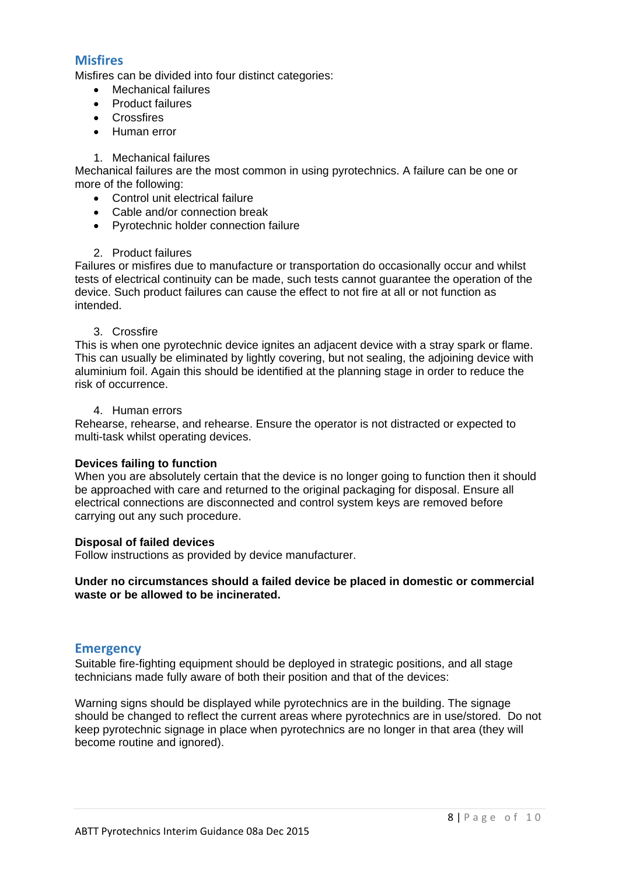## **Misfires**

Misfires can be divided into four distinct categories:

- Mechanical failures
- Product failures
- Crossfires
- Human error

#### 1. Mechanical failures

Mechanical failures are the most common in using pyrotechnics. A failure can be one or more of the following:

- Control unit electrical failure
- Cable and/or connection break
- Pyrotechnic holder connection failure

## 2. Product failures

Failures or misfires due to manufacture or transportation do occasionally occur and whilst tests of electrical continuity can be made, such tests cannot guarantee the operation of the device. Such product failures can cause the effect to not fire at all or not function as intended.

#### 3. Crossfire

This is when one pyrotechnic device ignites an adjacent device with a stray spark or flame. This can usually be eliminated by lightly covering, but not sealing, the adjoining device with aluminium foil. Again this should be identified at the planning stage in order to reduce the risk of occurrence.

#### 4. Human errors

Rehearse, rehearse, and rehearse. Ensure the operator is not distracted or expected to multi-task whilst operating devices.

#### **Devices failing to function**

When you are absolutely certain that the device is no longer going to function then it should be approached with care and returned to the original packaging for disposal. Ensure all electrical connections are disconnected and control system keys are removed before carrying out any such procedure.

#### **Disposal of failed devices**

Follow instructions as provided by device manufacturer.

## **Under no circumstances should a failed device be placed in domestic or commercial waste or be allowed to be incinerated.**

## **Emergency**

Suitable fire-fighting equipment should be deployed in strategic positions, and all stage technicians made fully aware of both their position and that of the devices:

Warning signs should be displayed while pyrotechnics are in the building. The signage should be changed to reflect the current areas where pyrotechnics are in use/stored. Do not keep pyrotechnic signage in place when pyrotechnics are no longer in that area (they will become routine and ignored).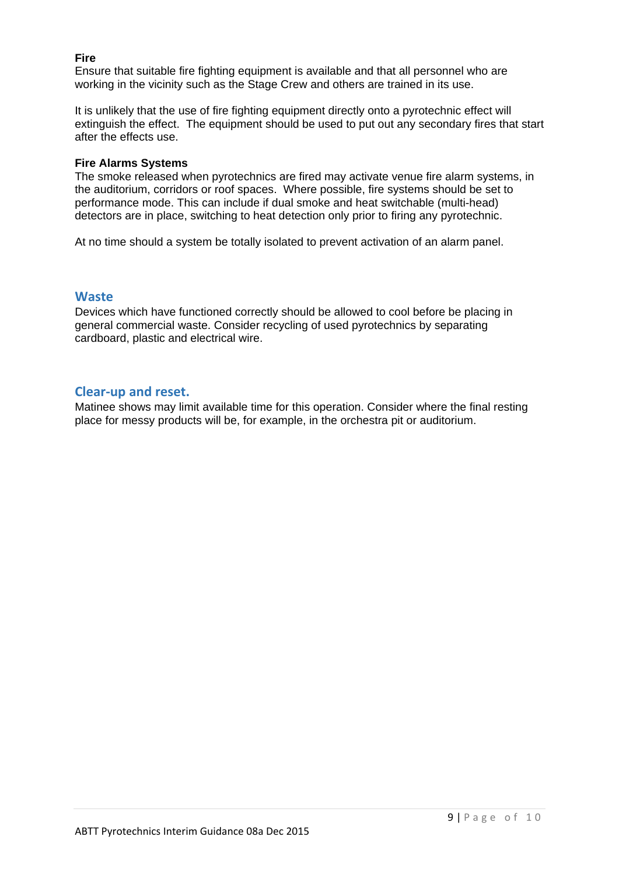## **Fire**

Ensure that suitable fire fighting equipment is available and that all personnel who are working in the vicinity such as the Stage Crew and others are trained in its use.

It is unlikely that the use of fire fighting equipment directly onto a pyrotechnic effect will extinguish the effect. The equipment should be used to put out any secondary fires that start after the effects use.

## **Fire Alarms Systems**

The smoke released when pyrotechnics are fired may activate venue fire alarm systems, in the auditorium, corridors or roof spaces. Where possible, fire systems should be set to performance mode. This can include if dual smoke and heat switchable (multi-head) detectors are in place, switching to heat detection only prior to firing any pyrotechnic.

At no time should a system be totally isolated to prevent activation of an alarm panel.

## **Waste**

Devices which have functioned correctly should be allowed to cool before be placing in general commercial waste. Consider recycling of used pyrotechnics by separating cardboard, plastic and electrical wire.

## **Clear‐up and reset.**

Matinee shows may limit available time for this operation. Consider where the final resting place for messy products will be, for example, in the orchestra pit or auditorium.